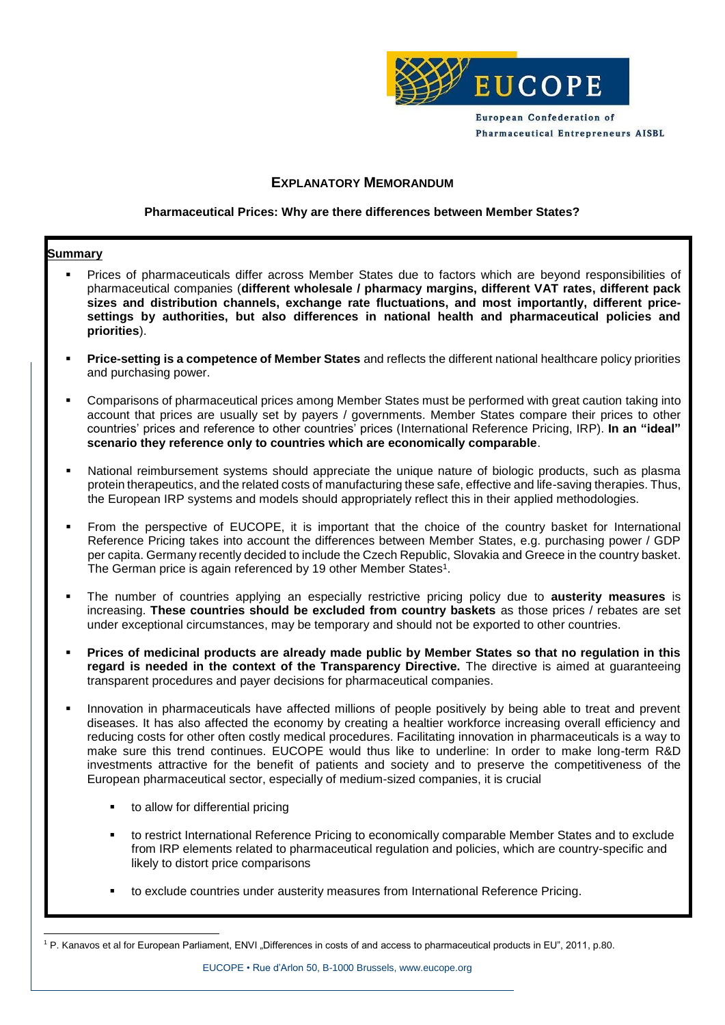

European Confederation of **Pharmaceutical Entrepreneurs AISBL** 

#### **EXPLANATORY MEMORANDUM**

#### **Pharmaceutical Prices: Why are there differences between Member States?**

#### **Summary**

- Prices of pharmaceuticals differ across Member States due to factors which are beyond responsibilities of pharmaceutical companies (**different wholesale / pharmacy margins, different VAT rates, different pack sizes and distribution channels, exchange rate fluctuations, and most importantly, different pricesettings by authorities, but also differences in national health and pharmaceutical policies and priorities**).
- **Price-setting is a competence of Member States** and reflects the different national healthcare policy priorities and purchasing power.
- Comparisons of pharmaceutical prices among Member States must be performed with great caution taking into account that prices are usually set by payers / governments. Member States compare their prices to other countries' prices and reference to other countries' prices (International Reference Pricing, IRP). **In an "ideal" scenario they reference only to countries which are economically comparable**.
- National reimbursement systems should appreciate the unique nature of biologic products, such as plasma protein therapeutics, and the related costs of manufacturing these safe, effective and life-saving therapies. Thus, the European IRP systems and models should appropriately reflect this in their applied methodologies.
- From the perspective of EUCOPE, it is important that the choice of the country basket for International Reference Pricing takes into account the differences between Member States, e.g. purchasing power / GDP per capita. Germany recently decided to include the Czech Republic, Slovakia and Greece in the country basket. The German price is again referenced by 19 other Member States<sup>1</sup>.
- The number of countries applying an especially restrictive pricing policy due to **austerity measures** is increasing. **These countries should be excluded from country baskets** as those prices / rebates are set under exceptional circumstances, may be temporary and should not be exported to other countries.
- **Prices of medicinal products are already made public by Member States so that no regulation in this regard is needed in the context of the Transparency Directive.** The directive is aimed at guaranteeing transparent procedures and payer decisions for pharmaceutical companies.
- Innovation in pharmaceuticals have affected millions of people positively by being able to treat and prevent diseases. It has also affected the economy by creating a healtier workforce increasing overall efficiency and reducing costs for other often costly medical procedures. Facilitating innovation in pharmaceuticals is a way to make sure this trend continues. EUCOPE would thus like to underline: In order to make long-term R&D investments attractive for the benefit of patients and society and to preserve the competitiveness of the European pharmaceutical sector, especially of medium-sized companies, it is crucial
	- **to allow for differential pricing**
	- to restrict International Reference Pricing to economically comparable Member States and to exclude from IRP elements related to pharmaceutical regulation and policies, which are country-specific and likely to distort price comparisons
	- to exclude countries under austerity measures from International Reference Pricing.

<sup>-</sup><sup>1</sup> P. Kanavos et al for European Parliament, ENVI "Differences in costs of and access to pharmaceutical products in EU", 2011, p.80.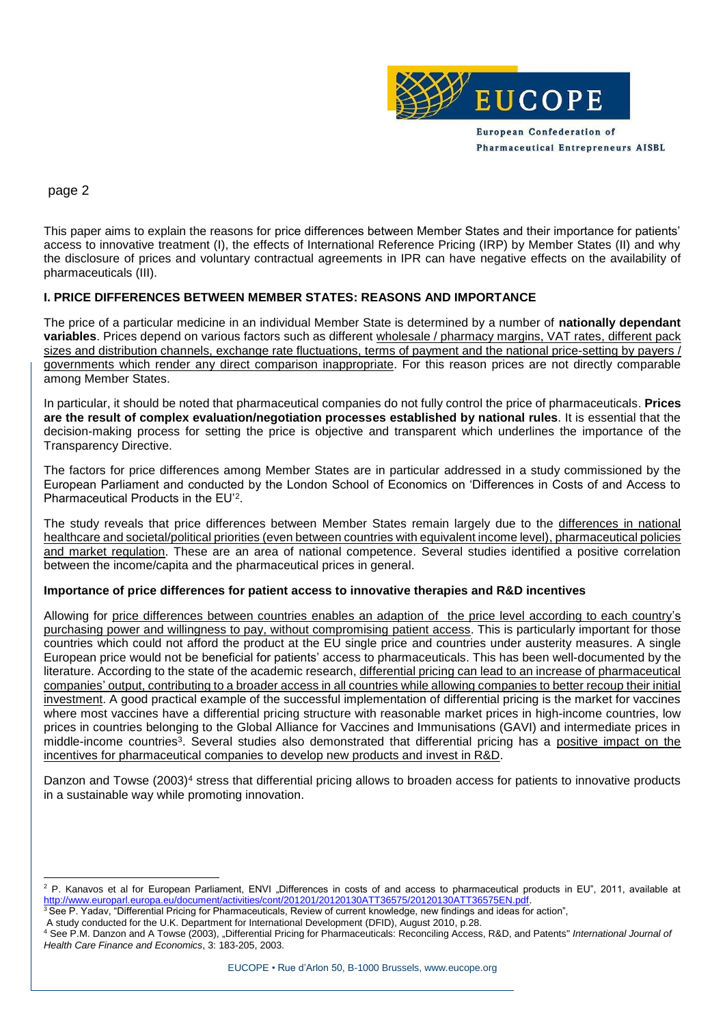

# page 2

-

This paper aims to explain the reasons for price differences between Member States and their importance for patients' access to innovative treatment (I), the effects of International Reference Pricing (IRP) by Member States (II) and why the disclosure of prices and voluntary contractual agreements in IPR can have negative effects on the availability of pharmaceuticals (III).

## **I. PRICE DIFFERENCES BETWEEN MEMBER STATES: REASONS AND IMPORTANCE**

The price of a particular medicine in an individual Member State is determined by a number of **nationally dependant variables**. Prices depend on various factors such as different wholesale / pharmacy margins, VAT rates, different pack sizes and distribution channels, exchange rate fluctuations, terms of payment and the national price-setting by payers / governments which render any direct comparison inappropriate. For this reason prices are not directly comparable among Member States.

In particular, it should be noted that pharmaceutical companies do not fully control the price of pharmaceuticals. **Prices are the result of complex evaluation/negotiation processes established by national rules**. It is essential that the decision-making process for setting the price is objective and transparent which underlines the importance of the Transparency Directive.

The factors for price differences among Member States are in particular addressed in a study commissioned by the European Parliament and conducted by the London School of Economics on 'Differences in Costs of and Access to Pharmaceutical Products in the EU'<sup>2</sup>.

The study reveals that price differences between Member States remain largely due to the differences in national healthcare and societal/political priorities (even between countries with equivalent income level), pharmaceutical policies and market regulation. These are an area of national competence. Several studies identified a positive correlation between the income/capita and the pharmaceutical prices in general.

## **Importance of price differences for patient access to innovative therapies and R&D incentives**

Allowing for price differences between countries enables an adaption of the price level according to each country's purchasing power and willingness to pay, without compromising patient access. This is particularly important for those countries which could not afford the product at the EU single price and countries under austerity measures. A single European price would not be beneficial for patients' access to pharmaceuticals. This has been well-documented by the literature. According to the state of the academic research, differential pricing can lead to an increase of pharmaceutical companies' output, contributing to a broader access in all countries while allowing companies to better recoup their initial investment. A good practical example of the successful implementation of differential pricing is the market for vaccines where most vaccines have a differential pricing structure with reasonable market prices in high-income countries, low prices in countries belonging to the Global Alliance for Vaccines and Immunisations (GAVI) and intermediate prices in middle-income countries<sup>3</sup>. Several studies also demonstrated that differential pricing has a positive impact on the incentives for pharmaceutical companies to develop new products and invest in R&D.

Danzon and Towse (2003)<sup>4</sup> stress that differential pricing allows to broaden access for patients to innovative products in a sustainable way while promoting innovation.

<sup>&</sup>lt;sup>2</sup> P. Kanavos et al for European Parliament, ENVI "Differences in costs of and access to pharmaceutical products in EU", 2011, available at [http://www.europarl.europa.eu/document/activities/cont/201201/20120130ATT36575/20120130ATT36575EN.pdf.](http://www.europarl.europa.eu/document/activities/cont/201201/20120130ATT36575/20120130ATT36575EN.pdf) 

<sup>&</sup>lt;sup>3</sup> See P. Yadav, "Differential Pricing for Pharmaceuticals, Review of current knowledge, new findings and ideas for action",

A study conducted for the U.K. Department for International Development (DFID), August 2010, p.28.

<sup>4</sup> See P.M. Danzon and A Towse (2003), "Differential Pricing for Pharmaceuticals: Reconciling Access, R&D, and Patents" *International Journal of Health Care Finance and Economics*, 3: 183-205, 2003.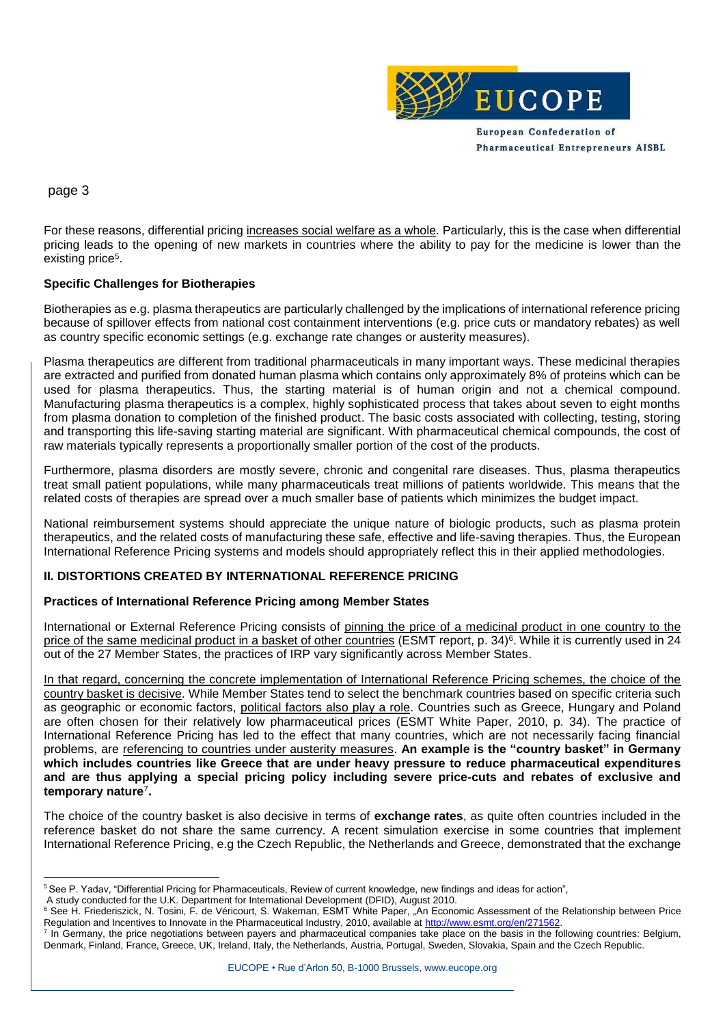

**Pharmaceutical Entrepreneurs AISBL** 

page 3

For these reasons, differential pricing increases social welfare as a whole*.* Particularly, this is the case when differential pricing leads to the opening of new markets in countries where the ability to pay for the medicine is lower than the existing price<sup>5</sup>.

## **Specific Challenges for Biotherapies**

Biotherapies as e.g. plasma therapeutics are particularly challenged by the implications of international reference pricing because of spillover effects from national cost containment interventions (e.g. price cuts or mandatory rebates) as well as country specific economic settings (e.g. exchange rate changes or austerity measures).

Plasma therapeutics are different from traditional pharmaceuticals in many important ways. These medicinal therapies are extracted and purified from donated human plasma which contains only approximately 8% of proteins which can be used for plasma therapeutics. Thus, the starting material is of human origin and not a chemical compound. Manufacturing plasma therapeutics is a complex, highly sophisticated process that takes about seven to eight months from plasma donation to completion of the finished product. The basic costs associated with collecting, testing, storing and transporting this life-saving starting material are significant. With pharmaceutical chemical compounds, the cost of raw materials typically represents a proportionally smaller portion of the cost of the products.

Furthermore, plasma disorders are mostly severe, chronic and congenital rare diseases. Thus, plasma therapeutics treat small patient populations, while many pharmaceuticals treat millions of patients worldwide. This means that the related costs of therapies are spread over a much smaller base of patients which minimizes the budget impact.

National reimbursement systems should appreciate the unique nature of biologic products, such as plasma protein therapeutics, and the related costs of manufacturing these safe, effective and life-saving therapies. Thus, the European International Reference Pricing systems and models should appropriately reflect this in their applied methodologies.

## **II. DISTORTIONS CREATED BY INTERNATIONAL REFERENCE PRICING**

## **Practices of International Reference Pricing among Member States**

International or External Reference Pricing consists of pinning the price of a medicinal product in one country to the price of the same medicinal product in a basket of other countries (ESMT report, p. 34)<sup>6</sup>. While it is currently used in 24 out of the 27 Member States, the practices of IRP vary significantly across Member States.

In that regard, concerning the concrete implementation of International Reference Pricing schemes, the choice of the country basket is decisive. While Member States tend to select the benchmark countries based on specific criteria such as geographic or economic factors, political factors also play a role. Countries such as Greece, Hungary and Poland are often chosen for their relatively low pharmaceutical prices (ESMT White Paper, 2010, p. 34). The practice of International Reference Pricing has led to the effect that many countries, which are not necessarily facing financial problems, are referencing to countries under austerity measures. **An example is the "country basket" in Germany which includes countries like Greece that are under heavy pressure to reduce pharmaceutical expenditures and are thus applying a special pricing policy including severe price-cuts and rebates of exclusive and temporary nature**<sup>7</sup> **.**

The choice of the country basket is also decisive in terms of **exchange rates**, as quite often countries included in the reference basket do not share the same currency. A recent simulation exercise in some countries that implement International Reference Pricing, e.g the Czech Republic, the Netherlands and Greece, demonstrated that the exchange

<sup>-</sup><sup>5</sup> See P. Yadav, "Differential Pricing for Pharmaceuticals, Review of current knowledge, new findings and ideas for action",

A study conducted for the U.K. Department for International Development (DFID), August 2010.

<sup>6</sup> See H. Friederiszick, N. Tosini, F. de Véricourt, S. Wakeman, ESMT White Paper, "An Economic Assessment of the Relationship between Price Regulation and Incentives to Innovate in the Pharmaceutical Industry, 2010, available at [http://www.esmt.org/en/271562.](http://www.esmt.org/en/271562)

<sup>&</sup>lt;sup>7</sup> In Germany, the price negotiations between payers and pharmaceutical companies take place on the basis in the following countries: Belgium, Denmark, Finland, France, Greece, UK, Ireland, Italy, the Netherlands, Austria, Portugal, Sweden, Slovakia, Spain and the Czech Republic.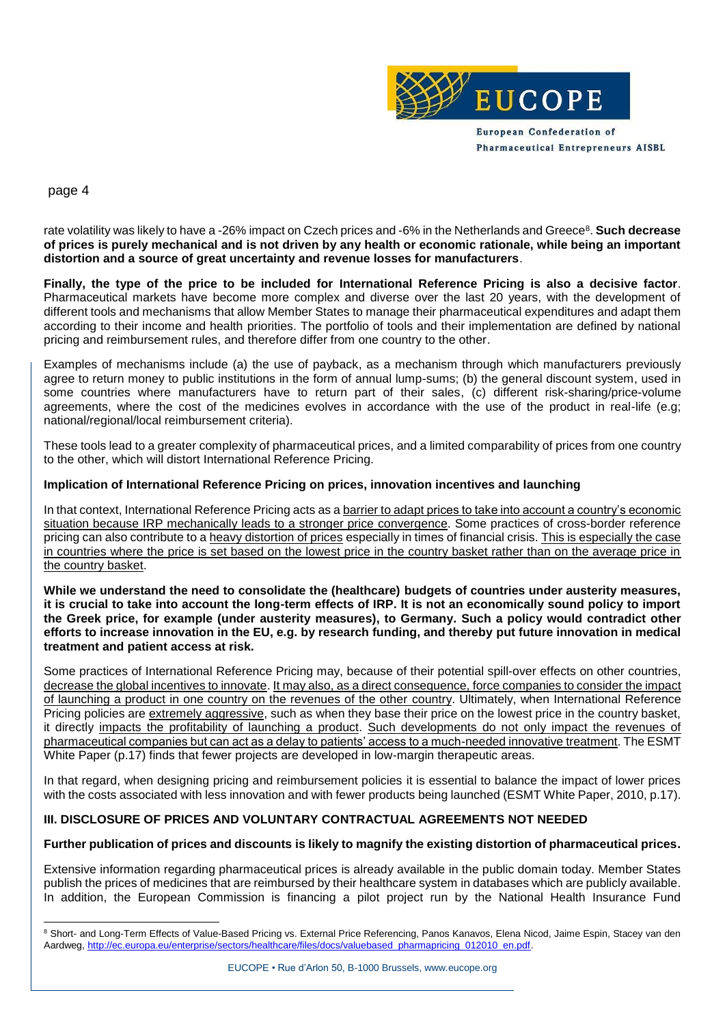

**Pharmaceutical Entrepreneurs AISBL** 

page 4

-

rate volatility was likely to have a -26% impact on Czech prices and -6% in the Netherlands and Greece<sup>8</sup>. **Such decrease of prices is purely mechanical and is not driven by any health or economic rationale, while being an important distortion and a source of great uncertainty and revenue losses for manufacturers**.

**Finally, the type of the price to be included for International Reference Pricing is also a decisive factor**. Pharmaceutical markets have become more complex and diverse over the last 20 years, with the development of different tools and mechanisms that allow Member States to manage their pharmaceutical expenditures and adapt them according to their income and health priorities. The portfolio of tools and their implementation are defined by national pricing and reimbursement rules, and therefore differ from one country to the other.

Examples of mechanisms include (a) the use of payback, as a mechanism through which manufacturers previously agree to return money to public institutions in the form of annual lump-sums; (b) the general discount system, used in some countries where manufacturers have to return part of their sales, (c) different risk-sharing/price-volume agreements, where the cost of the medicines evolves in accordance with the use of the product in real-life (e.g; national/regional/local reimbursement criteria).

These tools lead to a greater complexity of pharmaceutical prices, and a limited comparability of prices from one country to the other, which will distort International Reference Pricing.

#### **Implication of International Reference Pricing on prices, innovation incentives and launching**

In that context, International Reference Pricing acts as a barrier to adapt prices to take into account a country's economic situation because IRP mechanically leads to a stronger price convergence. Some practices of cross-border reference pricing can also contribute to a heavy distortion of prices especially in times of financial crisis. This is especially the case in countries where the price is set based on the lowest price in the country basket rather than on the average price in the country basket.

**While we understand the need to consolidate the (healthcare) budgets of countries under austerity measures, it is crucial to take into account the long-term effects of IRP. It is not an economically sound policy to import the Greek price, for example (under austerity measures), to Germany. Such a policy would contradict other efforts to increase innovation in the EU, e.g. by research funding, and thereby put future innovation in medical treatment and patient access at risk.**

Some practices of International Reference Pricing may, because of their potential spill-over effects on other countries, decrease the global incentives to innovate. It may also, as a direct consequence, force companies to consider the impact of launching a product in one country on the revenues of the other country. Ultimately, when International Reference Pricing policies are extremely aggressive, such as when they base their price on the lowest price in the country basket, it directly impacts the profitability of launching a product. Such developments do not only impact the revenues of pharmaceutical companies but can act as a delay to patients' access to a much-needed innovative treatment. The ESMT White Paper (p.17) finds that fewer projects are developed in low-margin therapeutic areas.

In that regard, when designing pricing and reimbursement policies it is essential to balance the impact of lower prices with the costs associated with less innovation and with fewer products being launched (ESMT White Paper, 2010, p.17).

## **III. DISCLOSURE OF PRICES AND VOLUNTARY CONTRACTUAL AGREEMENTS NOT NEEDED**

#### **Further publication of prices and discounts is likely to magnify the existing distortion of pharmaceutical prices.**

Extensive information regarding pharmaceutical prices is already available in the public domain today. Member States publish the prices of medicines that are reimbursed by their healthcare system in databases which are publicly available. In addition, the European Commission is financing a pilot project run by the National Health Insurance Fund

<sup>&</sup>lt;sup>8</sup> Short- and Long-Term Effects of Value-Based Pricing vs. External Price Referencing, Panos Kanavos, Elena Nicod, Jaime Espin, Stacey van den Aardweg, [http://ec.europa.eu/enterprise/sectors/healthcare/files/docs/valuebased\\_pharmapricing\\_012010\\_en.pdf.](http://ec.europa.eu/enterprise/sectors/healthcare/files/docs/valuebased_pharmapricing_012010_en.pdf)